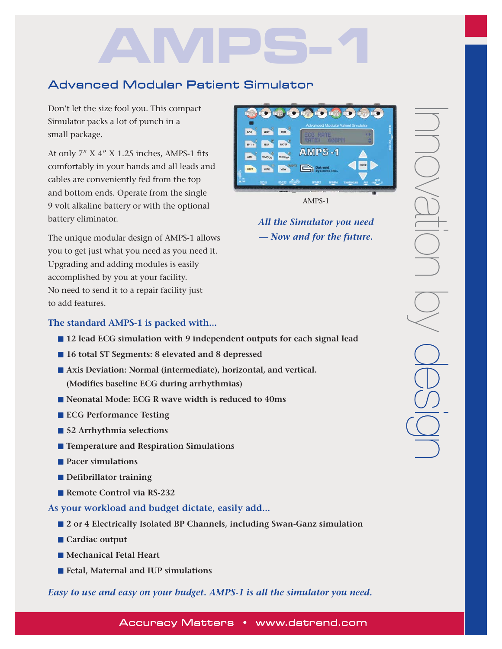# **AMPS-1**

# Advanced Modular Patient Simulator

Don't let the size fool you. This compact Simulator packs a lot of punch in a small package.

At only 7" X 4" X 1.25 inches, AMPS-1 fits comfortably in your hands and all leads and cables are conveniently fed from the top and bottom ends. Operate from the single 9 volt alkaline battery or with the optional battery eliminator.

The unique modular design of AMPS-1 allows you to get just what you need as you need it. Upgrading and adding modules is easily accomplished by you at your facility. No need to send it to a repair facility just to add features.

# **The standard AMPS-1 is packed with...**

- **12 lead ECG simulation with 9 independent outputs for each signal lead**
- **16 total ST Segments: 8 elevated and 8 depressed**
- Axis Deviation: Normal (intermediate), horizontal, and vertical. **(Modifies baseline ECG during arrhythmias)**
- **Neonatal Mode: ECG R wave width is reduced to 40ms**
- **ECG Performance Testing**
- **52 Arrhythmia selections**
- **Temperature and Respiration Simulations**
- **Pacer simulations**
- **Defibrillator training**
- **Remote Control via RS-232**
- **As your workload and budget dictate, easily add...**
	- **2** or 4 Electrically Isolated BP Channels, including Swan-Ganz simulation
	- **Cardiac output**
	- **Mechanical Fetal Heart**
	- **Fetal, Maternal and IUP simulations**

*Easy to use and easy on your budget. AMPS-1 is all the simulator you need.*



AMPS-1

*All the Simulator you need — Now and for the future.*

Accuracy Matters • www.datrend.com